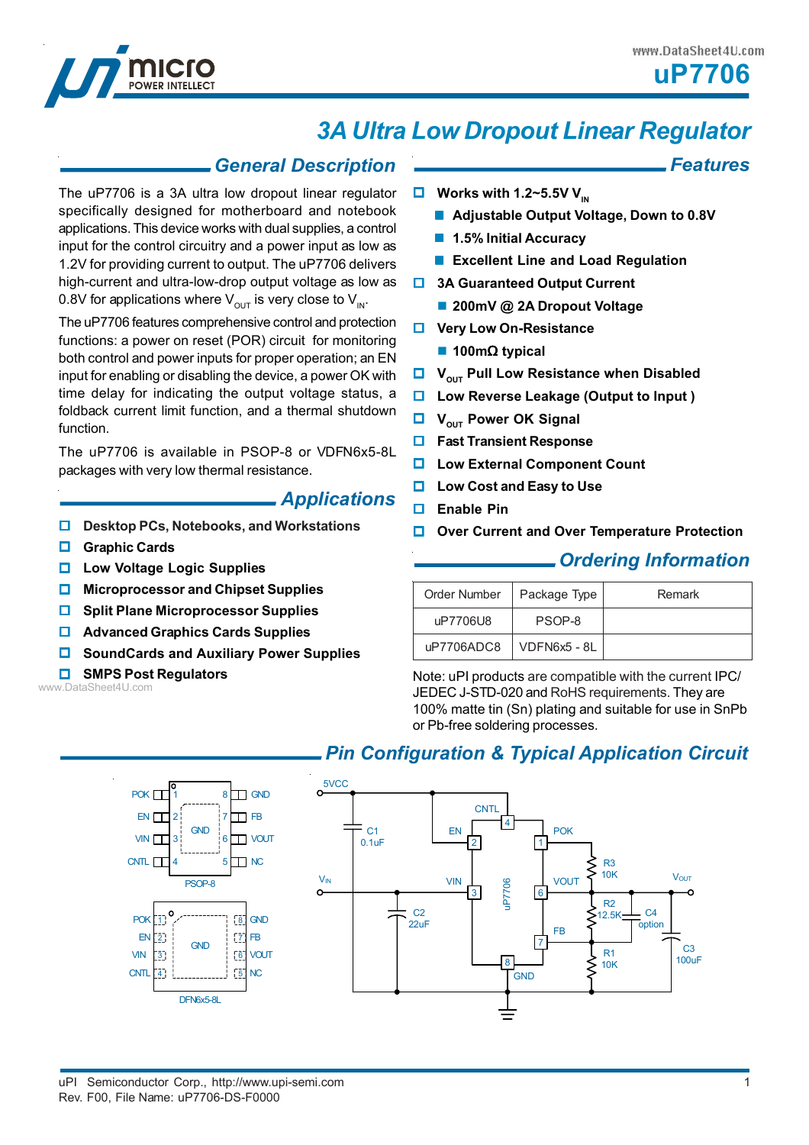*Features*



# *3A Ultra Low Dropout Linear Regulator*

### *General Description*

The uP7706 is a 3A ultra low dropout linear regulator specifically designed for motherboard and notebook applications. This device works with dual supplies, a control input for the control circuitry and a power input as low as 1.2V for providing current to output. The uP7706 delivers high-current and ultra-low-drop output voltage as low as 0.8V for applications where  $V_{\text{out}}$  is very close to  $V_{\text{in}}$ .

The uP7706 features comprehensive control and protection functions: a power on reset (POR) circuit for monitoring both control and power inputs for proper operation; an EN input for enabling or disabling the device, a power OK with time delay for indicating the output voltage status, a foldback current limit function, and a thermal shutdown function.

The uP7706 is available in PSOP-8 or VDFN6x5-8L packages with very low thermal resistance.

### *Applications*

- **Desktop PCs, Notebooks, and Workstations**
- **Graphic Cards**
- **Low Voltage Logic Supplies**
- **Microprocessor and Chipset Supplies**
- $\Box$  Split Plane Microprocessor Supplies
- **Advanced Graphics Cards Supplies**
- **SoundCards and Auxiliary Power Supplies**

#### **SMPS Post Regulators**

www.DataSheet4U.com

### **Works with 1.2~5.5V V<sub>IN</sub>**

- **Adjustable Output Voltage, Down to 0.8V**
- **1.5% Initial Accuracy**
- **Excellent Line and Load Regulation**
- $\Box$  **3A Guaranteed Output Current** 
	- **200mV @ 2A Dropout Voltage**
- $\Box$  Very Low On-Resistance
	- **100m**Ω **typical**
- **U** V<sub>OUT</sub> Pull Low Resistance when Disabled
- **Low Reverse Leakage (Output to Input )**
- **U** V<sub>OUT</sub> Power OK Signal
- **Fast Transient Response**
- **Low External Component Count**
- **Low Cost and Easy to Use**
- **Enable Pin**
- **Over Current and Over Temperature Protection**

### *Ordering Information*

| Order Number | Package Type | Remark |
|--------------|--------------|--------|
| uP7706U8     | PSOP-8       |        |
| uP7706ADC8   | VDFN6x5 - 8L |        |

Note: uPI products are compatible with the current IPC/ JEDEC J-STD-020 and RoHS requirements. They are 100% matte tin (Sn) plating and suitable for use in SnPb or Pb-free soldering processes.

### *Pin Configuration & Typical Application Circuit*

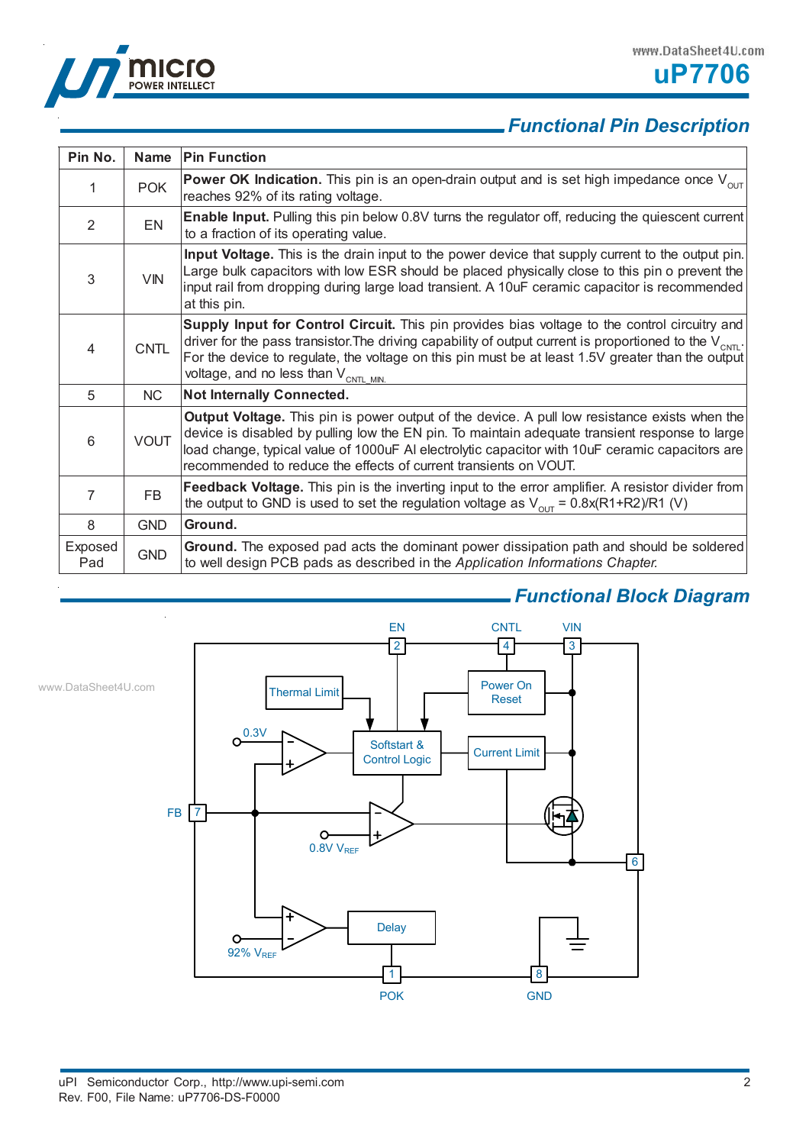



|                |             | <b>. Functional Pin Description</b>                                                                                                                                                                                                                                                                                                                                           |
|----------------|-------------|-------------------------------------------------------------------------------------------------------------------------------------------------------------------------------------------------------------------------------------------------------------------------------------------------------------------------------------------------------------------------------|
|                |             |                                                                                                                                                                                                                                                                                                                                                                               |
| Pin No.        | <b>Name</b> | <b>Pin Function</b>                                                                                                                                                                                                                                                                                                                                                           |
| 1              | <b>POK</b>  | <b>Power OK Indication.</b> This pin is an open-drain output and is set high impedance once $V_{\text{out}}$<br>reaches 92% of its rating voltage.                                                                                                                                                                                                                            |
| $\overline{2}$ | <b>EN</b>   | Enable Input. Pulling this pin below 0.8V turns the regulator off, reducing the quiescent current<br>to a fraction of its operating value.                                                                                                                                                                                                                                    |
| 3              | <b>VIN</b>  | Input Voltage. This is the drain input to the power device that supply current to the output pin.<br>Large bulk capacitors with low ESR should be placed physically close to this pin o prevent the<br>input rail from dropping during large load transient. A 10uF ceramic capacitor is recommended<br>at this pin.                                                          |
| 4              | <b>CNTL</b> | Supply Input for Control Circuit. This pin provides bias voltage to the control circuitry and<br>driver for the pass transistor. The driving capability of output current is proportioned to the $V_{\text{CNTL}}$ .<br>For the device to regulate, the voltage on this pin must be at least 1.5V greater than the output<br>voltage, and no less than V <sub>CNTL MIN.</sub> |
| 5              | NC          | Not Internally Connected.                                                                                                                                                                                                                                                                                                                                                     |
| 6              | <b>VOUT</b> | Output Voltage. This pin is power output of the device. A pull low resistance exists when the<br>device is disabled by pulling low the EN pin. To maintain adequate transient response to large<br>load change, typical value of 1000uF AI electrolytic capacitor with 10uF ceramic capacitors are<br>recommended to reduce the effects of current transients on VOUT.        |
| 7              | <b>FB</b>   | Feedback Voltage. This pin is the inverting input to the error amplifier. A resistor divider from<br>the output to GND is used to set the regulation voltage as $V_{\text{out}} = 0.8x(R1+R2)/R1$ (V)                                                                                                                                                                         |
| 8              | <b>GND</b>  | Ground.                                                                                                                                                                                                                                                                                                                                                                       |
| Exposed<br>Pad | <b>GND</b>  | Ground. The exposed pad acts the dominant power dissipation path and should be soldered<br>to well design PCB pads as described in the Application Informations Chapter.                                                                                                                                                                                                      |

## *Functional Block Diagram*

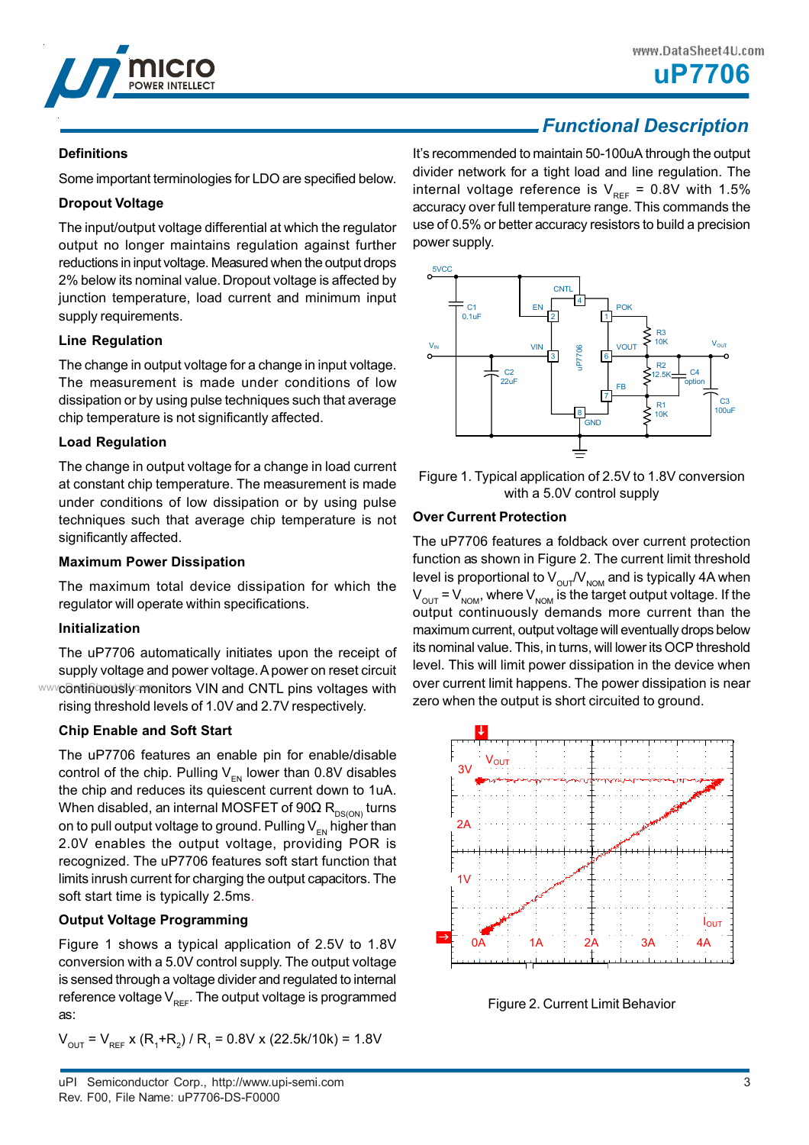

**uP7706**

### *Functional Description*

### **Definitions**

Some important terminologies for LDO are specified below.

### **Dropout Voltage**

The input/output voltage differential at which the regulator output no longer maintains regulation against further reductions in input voltage. Measured when the output drops 2% below its nominal value. Dropout voltage is affected by junction temperature, load current and minimum input supply requirements.

### **Line Regulation**

The change in output voltage for a change in input voltage. The measurement is made under conditions of low dissipation or by using pulse techniques such that average chip temperature is not significantly affected.

### **Load Regulation**

The change in output voltage for a change in load current at constant chip temperature. The measurement is made under conditions of low dissipation or by using pulse techniques such that average chip temperature is not significantly affected.

### **Maximum Power Dissipation**

The maximum total device dissipation for which the regulator will operate within specifications.

### **Initialization**

The uP7706 automatically initiates upon the receipt of supply voltage and power voltage. A power on reset circuit www.continuously monitors VIN and CNTL pins voltages with rising threshold levels of 1.0V and 2.7V respectively.

### **Chip Enable and Soft Start**

The uP7706 features an enable pin for enable/disable control of the chip. Pulling  $V_{EN}$  lower than 0.8V disables the chip and reduces its quiescent current down to 1uA. When disabled, an internal MOSFET of  $90\Omega$  R<sub>DS(ON)</sub> turns on to pull output voltage to ground. Pulling  $V_{\text{EM}}$  higher than 2.0V enables the output voltage, providing POR is recognized. The uP7706 features soft start function that limits inrush current for charging the output capacitors. The soft start time is typically 2.5ms.

### **Output Voltage Programming**

Figure 1 shows a typical application of 2.5V to 1.8V conversion with a 5.0V control supply. The output voltage is sensed through a voltage divider and regulated to internal reference voltage  $V_{\text{ref}}$ . The output voltage is programmed as:

 $V_{\text{OUT}}$  =  $V_{\text{REF}}$  x (R<sub>1</sub>+R<sub>2</sub>) / R<sub>1</sub> = 0.8V x (22.5k/10k) = 1.8V

It's recommended to maintain 50-100uA through the output divider network for a tight load and line regulation. The internal voltage reference is  $V_{REF} = 0.8V$  with 1.5% accuracy over full temperature range. This commands the use of 0.5% or better accuracy resistors to build a precision power supply.



Figure 1. Typical application of 2.5V to 1.8V conversion with a 5.0V control supply

### **Over Current Protection**

The uP7706 features a foldback over current protection function as shown in Figure 2. The current limit threshold level is proportional to  $V_{\text{out}}/V_{\text{nom}}$  and is typically 4A when  $V_{\text{OUT}} = V_{\text{NOM}}$ , where  $V_{\text{NOM}}$  is the target output voltage. If the output continuously demands more current than the maximum current, output voltage will eventually drops below its nominal value. This, in turns, will lower its OCP threshold level. This will limit power dissipation in the device when over current limit happens. The power dissipation is near zero when the output is short circuited to ground.



Figure 2. Current Limit Behavior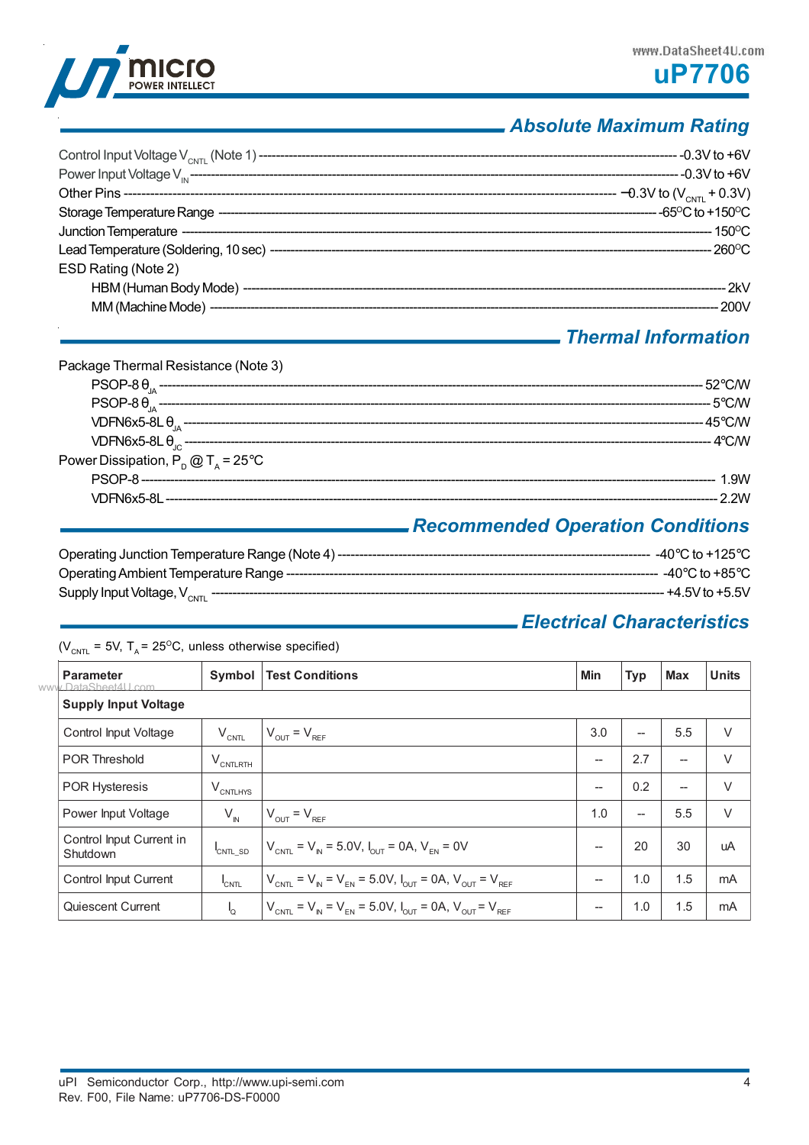

## *Absolute Maximum Rating*

| ESD Rating (Note 2) |  |
|---------------------|--|
|                     |  |
|                     |  |
|                     |  |

### *Thermal Information*

| Package Thermal Resistance (Note 3)                |                                              |
|----------------------------------------------------|----------------------------------------------|
|                                                    |                                              |
|                                                    |                                              |
|                                                    |                                              |
|                                                    |                                              |
| Power Dissipation, $P_{p}$ @ T <sub>s</sub> = 25°C |                                              |
|                                                    |                                              |
|                                                    |                                              |
|                                                    | Becomes used Original Original Constitutions |

### *Recommended Operation Conditions*

| Operating Junction Temperature Range (Note 4) ------------ | -40°C to +125°C    |
|------------------------------------------------------------|--------------------|
| Operating Ambient Temperature Range -------                | - -40°C to +85°C.  |
| Supply Input Voltage, $V_{CNTI}$                           | --- +4.5V to +5.5V |

## *Electrical Characteristics*

 $(V_{\text{CNTL}} = 5V, T_A = 25^{\circ}\text{C}, \text{ unless otherwise specified})$ 

| <b>Parameter</b><br>www.DataSheet4U.com | Symbol               | <b>Test Conditions</b>                                                                                           | Min                      | <b>Typ</b>               | <b>Max</b>               | <b>Units</b> |
|-----------------------------------------|----------------------|------------------------------------------------------------------------------------------------------------------|--------------------------|--------------------------|--------------------------|--------------|
| <b>Supply Input Voltage</b>             |                      |                                                                                                                  |                          |                          |                          |              |
| Control Input Voltage                   | $V_{\text{CNTL}}$    | $V_{\text{OUT}} = V_{\text{REF}}$                                                                                | 3.0                      | --                       | 5.5                      | $\vee$       |
| <b>POR Threshold</b>                    | $V_{\text{CNTLRTH}}$ |                                                                                                                  | $\overline{a}$           | 2.7                      | $\overline{\phantom{a}}$ | $\vee$       |
| <b>POR Hysteresis</b>                   | $V_{\text{CNTLHYS}}$ |                                                                                                                  | --                       | 0.2                      | $\overline{\phantom{a}}$ | V            |
| Power Input Voltage                     | $V_{N}$              | $V_{OUT} = V_{REF}$                                                                                              | 1.0                      | $\overline{\phantom{a}}$ | 5.5                      | $\vee$       |
| Control Input Current in<br>Shutdown    | CNTL_SD              | $V_{CNTL} = V_{N} = 5.0 V, I_{CUT} = 0 A, V_{FN} = 0 V$                                                          | $\overline{\phantom{a}}$ | 20                       | 30                       | uA           |
| Control Input Current                   | <sup>I</sup> CNTL    | $V_{\text{CNTL}} = V_{\text{IN}} = V_{\text{EN}} = 5.0 V, I_{\text{OUT}} = 0 A, V_{\text{OUT}} = V_{\text{REF}}$ | --                       | 1.0                      | 1.5                      | mA           |
| Quiescent Current                       | 'Q                   | $V_{CNTL} = V_{N} = V_{EN} = 5.0 V, I_{OUT} = 0 A, V_{OUT} = V_{REF}$                                            | --                       | 1.0                      | 1.5                      | mA           |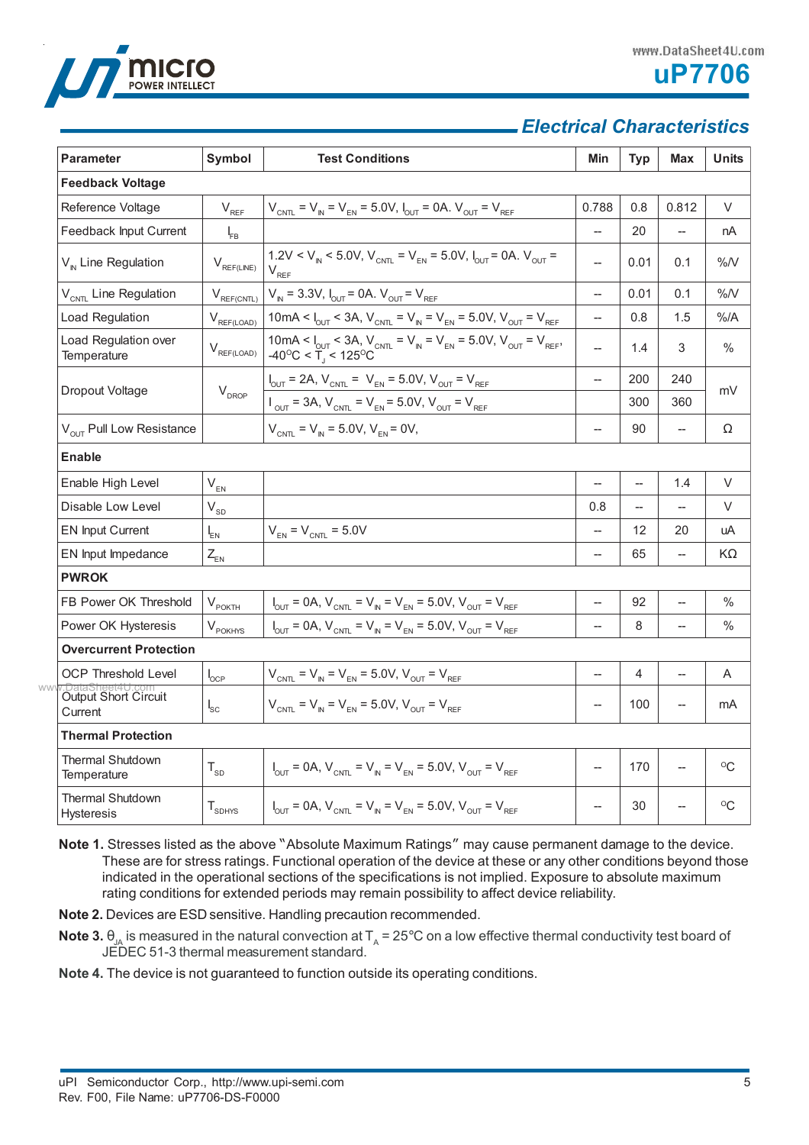



### *Electrical Characteristics*

| <b>Parameter</b>                       | Symbol                        | <b>Test Conditions</b>                                                                                                                                                                    | Min                                | <b>Typ</b> | <b>Max</b>               | <b>Units</b>  |
|----------------------------------------|-------------------------------|-------------------------------------------------------------------------------------------------------------------------------------------------------------------------------------------|------------------------------------|------------|--------------------------|---------------|
| <b>Feedback Voltage</b>                |                               |                                                                                                                                                                                           |                                    |            |                          |               |
| Reference Voltage                      | $V_{RF}$                      | $V_{CNTL} = V_{N} = V_{EN} = 5.0 V, I_{OUT} = 0 A. V_{OUT} = V_{REF}$                                                                                                                     | 0.788                              | 0.8        | 0.812                    | V             |
| Feedback Input Current                 | $I_{FB}$                      |                                                                                                                                                                                           |                                    | 20         |                          | nA            |
| $V_{N}$ Line Regulation                | $V_{REF(LINE)}$               | 1.2V < $V_{N}$ < 5.0V, $V_{CNT}$ = $V_{FN}$ = 5.0V, $I_{CUT}$ = 0A. $V_{CUT}$ =<br>$V_{RFF}$                                                                                              | $\overline{\phantom{a}}$           | 0.01       | 0.1                      | %N            |
| V <sub>CNTL</sub> Line Regulation      | $V_{REF(CNTL)}$               | $V_{N}$ = 3.3V, $I_{OUT}$ = 0A. $V_{OUT}$ = $V_{REF}$                                                                                                                                     | $\overline{a}$                     | 0.01       | 0.1                      | %N            |
| Load Regulation                        | $V_{\text{REF(LOAD)}}$        | 10mA < $I_{\text{OUT}}$ < 3A, $V_{\text{CNT}}$ = $V_{\text{N}}$ = $V_{\text{EN}}$ = 5.0V, $V_{\text{OUT}}$ = $V_{\text{REF}}$                                                             | $\overline{\phantom{a}}$           | 0.8        | 1.5                      | $%$ /A        |
| Load Regulation over<br>Temperature    | $V_{\text{REF(LOAD)}}$        | 10mA < $I_{\text{OUT}}$ < 3A, V <sub>CNTL</sub> = V <sub>N</sub> = V <sub>EN</sub> = 5.0V, V <sub>OUT</sub> = V <sub>REF</sub> , -40 <sup>o</sup> C < T <sub>1</sub> < 125 <sup>o</sup> C | $\overline{a}$                     | 1.4        | 3                        | $\%$          |
|                                        |                               | $I_{\text{OUT}} = 2A$ , $V_{\text{CNT}} = V_{\text{EN}} = 5.0 \text{V}$ , $V_{\text{OUT}} = V_{\text{REF}}$                                                                               | $\overline{\phantom{a}}$           | 200        | 240                      | mV            |
| Dropout Voltage                        | $\mathsf{V}_{\mathsf{DROP}}$  | $V_{\text{OUT}} = 3A$ , $V_{\text{CNT}} = V_{\text{EN}} = 5.0 V$ , $V_{\text{OUT}} = V_{\text{REF}}$                                                                                      |                                    | 300        | 360                      |               |
| V <sub>OUT</sub> Pull Low Resistance   |                               | $V_{CNTL} = V_{N} = 5.0 V, V_{FN} = 0 V,$                                                                                                                                                 | $\overline{\phantom{a}}$           | 90         | --                       | Ω             |
| <b>Enable</b>                          |                               |                                                                                                                                                                                           |                                    |            |                          |               |
| Enable High Level                      | $V_{EN}$                      |                                                                                                                                                                                           | $\overline{a}$                     |            | 1.4                      | V             |
| Disable Low Level                      | $V_{SD}$                      |                                                                                                                                                                                           | 0.8                                |            | $\overline{\phantom{0}}$ | V             |
| <b>EN Input Current</b>                | $I_{EN}$                      | $V_{EN}$ = $V_{CNTL}$ = 5.0V                                                                                                                                                              | $\overline{\phantom{a}}$           | 12         | 20                       | uA            |
| EN Input Impedance                     | $Z_{EN}$                      |                                                                                                                                                                                           | $\overline{a}$                     | 65         | --                       | KΩ            |
| <b>PWROK</b>                           |                               |                                                                                                                                                                                           |                                    |            |                          |               |
| FB Power OK Threshold                  | $V_{\text{POKTH}}$            | $I_{\text{OUT}} = 0A$ , $V_{\text{CNT}} = V_{\text{IN}} = V_{\text{EN}} = 5.0V$ , $V_{\text{OUT}} = V_{\text{REF}}$                                                                       | $\hspace{0.05cm} -\hspace{0.05cm}$ | 92         | --                       | $\%$          |
| Power OK Hysteresis                    | $V_{\text{POKHYS}}$           | $I_{\text{OUT}} = 0A$ , $V_{\text{CNT}} = V_{\text{IN}} = V_{\text{EN}} = 5.0V$ , $V_{\text{OUT}} = V_{\text{REF}}$                                                                       |                                    | 8          | $\overline{\phantom{0}}$ | $\frac{0}{0}$ |
| <b>Overcurrent Protection</b>          |                               |                                                                                                                                                                                           |                                    |            |                          |               |
| <b>OCP Threshold Level</b>             | $\mathsf{I}_{\mathsf{OCP}}$   | $V_{CNTL} = V_{N} = V_{EN} = 5.0 V, V_{OUT} = V_{REF}$                                                                                                                                    | --                                 | 4          | --                       | A             |
| Output Short Circuit<br>Current        | $I_{SC}$                      | $V_{CNT} = V_{N} = V_{FN} = 5.0 V, V_{CUT} = V_{RFF}$                                                                                                                                     | $\overline{\phantom{a}}$           | 100        | $\overline{\phantom{a}}$ | mA            |
| <b>Thermal Protection</b>              |                               |                                                                                                                                                                                           |                                    |            |                          |               |
| <b>Thermal Shutdown</b><br>Temperature | $T_{SD}$                      | $V_{\text{OUT}} = 0A$ , $V_{\text{CNT}} = V_{\text{IN}} = V_{\text{EN}} = 5.0 V$ , $V_{\text{OUT}} = V_{\text{REF}}$                                                                      | $\overline{a}$                     | 170        | --                       | $^{\circ}C$   |
| Thermal Shutdown<br><b>Hysteresis</b>  | $\mathsf{T}_{\textsc{SDHYS}}$ | $V_{\text{OUT}} = 0A$ , $V_{\text{CNT}} = V_{\text{IN}} = V_{\text{EN}} = 5.0V$ , $V_{\text{OUT}} = V_{\text{REF}}$                                                                       |                                    | 30         |                          | $^{\circ}C$   |

**Note 1.** Stresses listed as the above "Absolute Maximum Ratings" may cause permanent damage to the device. These are for stress ratings. Functional operation of the device at these or any other conditions beyond those indicated in the operational sections of the specifications is not implied. Exposure to absolute maximum rating conditions for extended periods may remain possibility to affect device reliability.

**Note 2.** Devices are ESD sensitive. Handling precaution recommended.

**Note 3.**  $\theta_{JA}$  is measured in the natural convection at  $T_A = 25^\circ$ C on a low effective thermal conductivity test board of JEDEC 51-3 thermal measurement standard.

**Note 4.** The device is not guaranteed to function outside its operating conditions.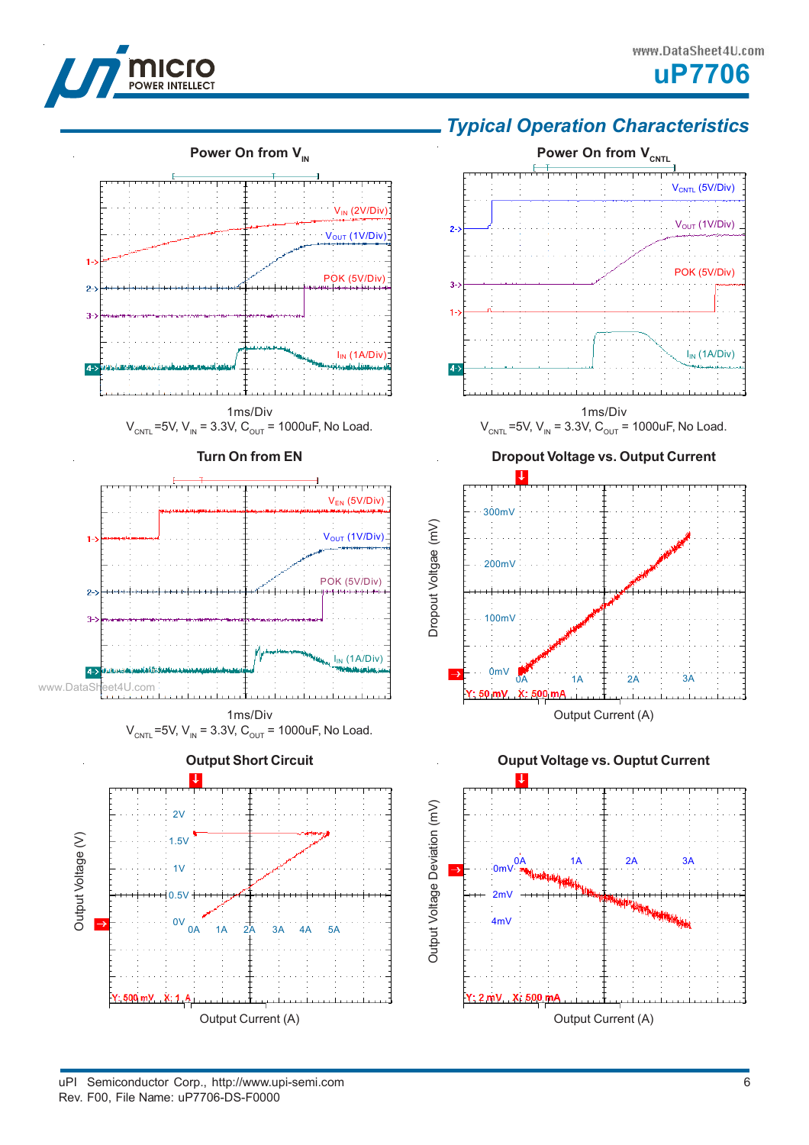



## *Typical Operation Characteristics*

**Power On from V<sub>CNTL</sub>** 





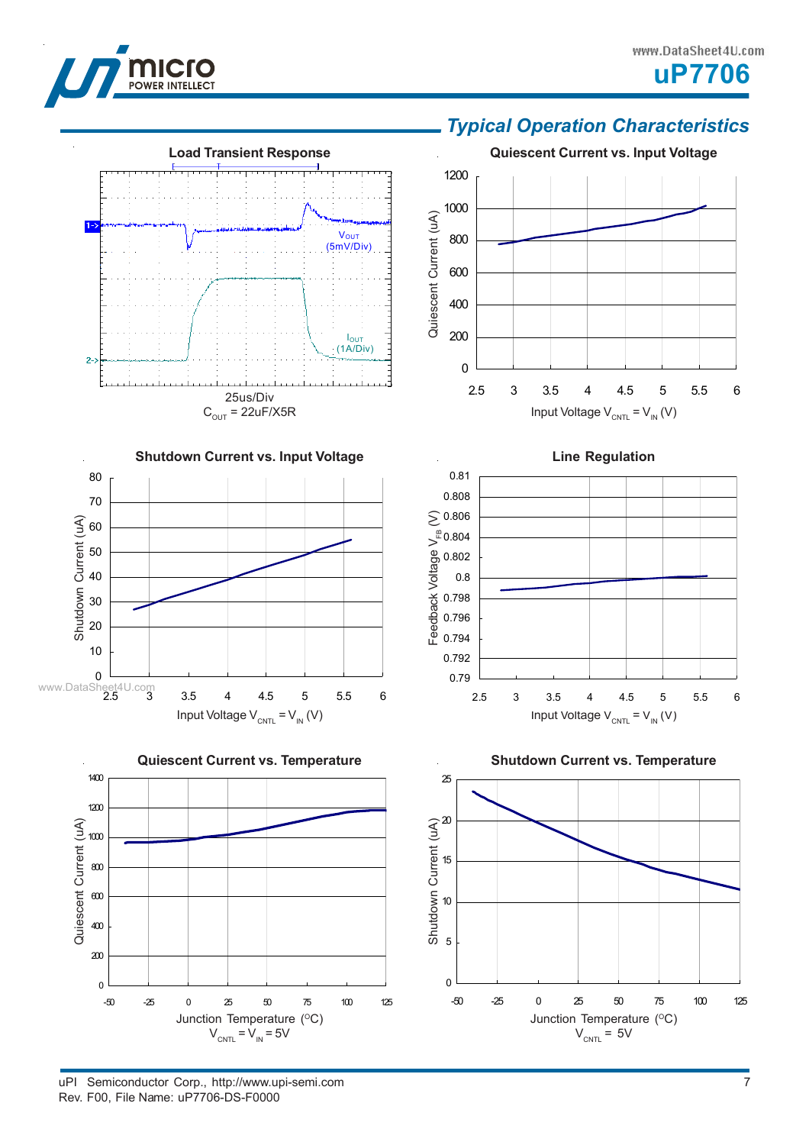

70 80

Shutdown Current (uA)

Quiescent Current (uA)

#### www.DataSheet4U.com





**Shutdown Current vs. Input Voltage**

### *Typical Operation Characteristics*





Junction Temperature (°C)  $V_{CNTL}$  = 5V



uPI Semiconductor Corp., http://www.upi-semi.com Rev. F00, File Name: uP7706-DS-F0000

 $V_{CNTL} = V_{IN} = 5V$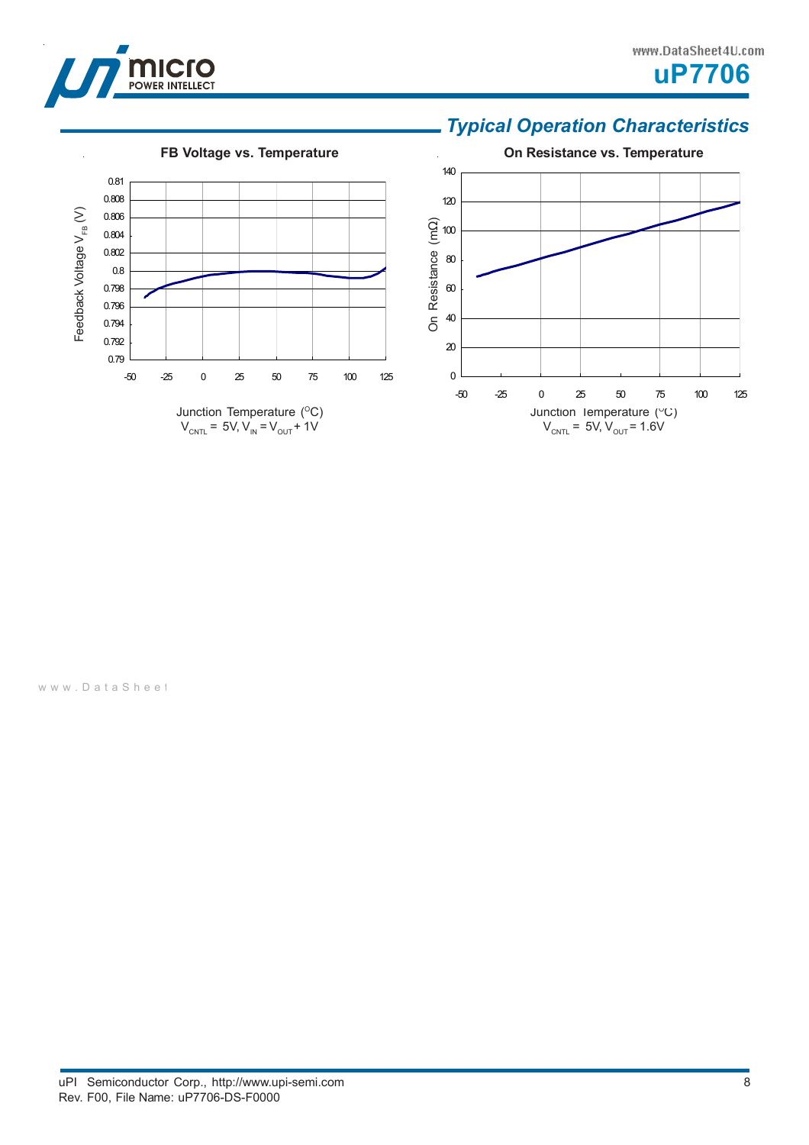

#### www.DataSheet4U.com



## *Typical Operation Characteristics*



www.DataSheet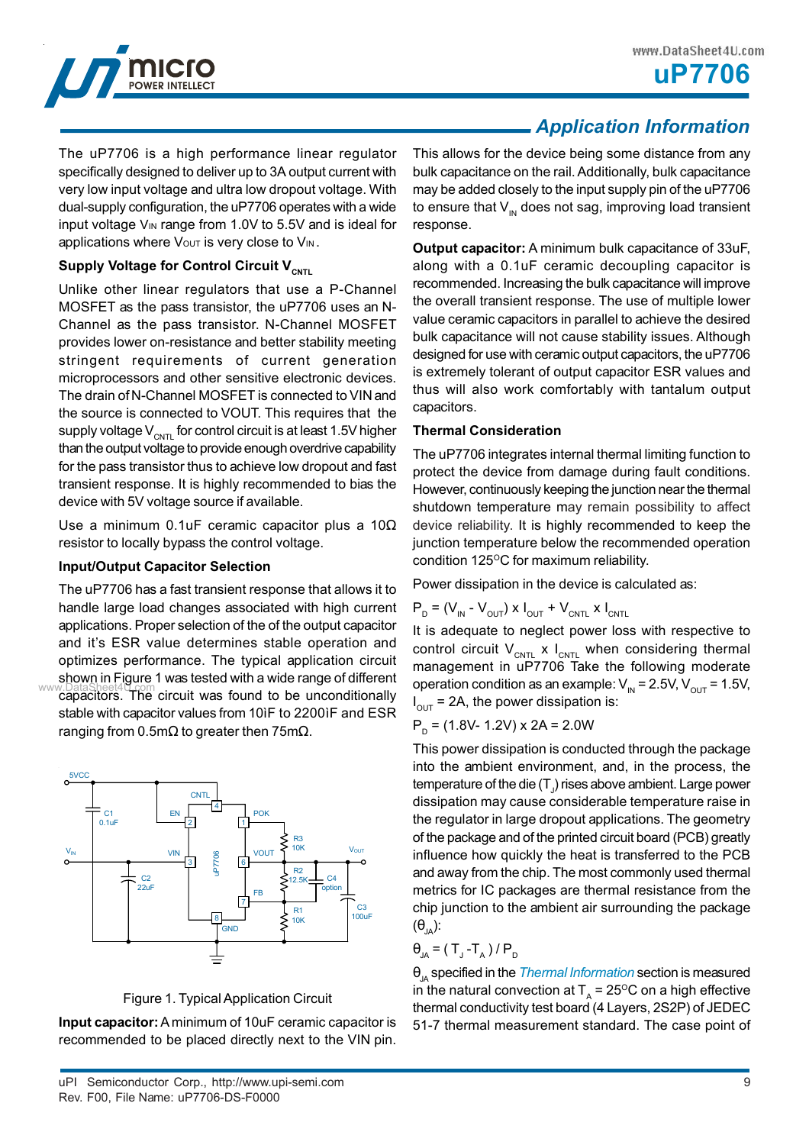

**uP7706**

The uP7706 is a high performance linear regulator specifically designed to deliver up to 3A output current with very low input voltage and ultra low dropout voltage. With dual-supply configuration, the uP7706 operates with a wide input voltage VIN range from 1.0V to 5.5V and is ideal for applications where  $V_{\text{OUT}}$  is very close to  $V_{\text{IN}}$ .

### **Supply Voltage for Control Circuit V<sub>CNTL</sub>**

Unlike other linear regulators that use a P-Channel MOSFET as the pass transistor, the uP7706 uses an N-Channel as the pass transistor. N-Channel MOSFET provides lower on-resistance and better stability meeting stringent requirements of current generation microprocessors and other sensitive electronic devices. The drain of N-Channel MOSFET is connected to VIN and the source is connected to VOUT. This requires that the supply voltage  $V_{\text{CNTL}}$  for control circuit is at least 1.5V higher than the output voltage to provide enough overdrive capability for the pass transistor thus to achieve low dropout and fast transient response. It is highly recommended to bias the device with 5V voltage source if available.

Use a minimum 0.1uF ceramic capacitor plus a 10Ω resistor to locally bypass the control voltage.

### **Input/Output Capacitor Selection**

The uP7706 has a fast transient response that allows it to handle large load changes associated with high current applications. Proper selection of the of the output capacitor and it's ESR value determines stable operation and optimizes performance. The typical application circuit shown in Figure 1 was tested with a wide range of different www.DataSheet4U.com<br>capacitors. The circuit was found to be unconditionally stable with capacitor values from 10ìF to 2200ìF and ESR ranging from 0.5m $\Omega$  to greater then 75m $\Omega$ .



Figure 1. Typical Application Circuit

**Input capacitor:** A minimum of 10uF ceramic capacitor is recommended to be placed directly next to the VIN pin.

## *Application Information*

This allows for the device being some distance from any bulk capacitance on the rail. Additionally, bulk capacitance may be added closely to the input supply pin of the uP7706 to ensure that  $V_{\text{IN}}$  does not sag, improving load transient response.

**Output capacitor:** A minimum bulk capacitance of 33uF, along with a 0.1uF ceramic decoupling capacitor is recommended. Increasing the bulk capacitance will improve the overall transient response. The use of multiple lower value ceramic capacitors in parallel to achieve the desired bulk capacitance will not cause stability issues. Although designed for use with ceramic output capacitors, the uP7706 is extremely tolerant of output capacitor ESR values and thus will also work comfortably with tantalum output capacitors.

#### **Thermal Consideration**

The uP7706 integrates internal thermal limiting function to protect the device from damage during fault conditions. However, continuously keeping the junction near the thermal shutdown temperature may remain possibility to affect device reliability. It is highly recommended to keep the junction temperature below the recommended operation condition  $125^{\circ}$ C for maximum reliability.

Power dissipation in the device is calculated as:

$$
P_{D} = (V_{IN} - V_{OUT}) \times I_{OUT} + V_{CNTL} \times I_{CNTL}
$$

It is adequate to neglect power loss with respective to control circuit  $V_{CNTL}$  x  $I_{CNTL}$  when considering thermal management in uP7706 Take the following moderate operation condition as an example:  $V_{\text{IN}} = 2.5V$ ,  $V_{\text{OUT}} = 1.5V$ ,  $I_{\text{OUT}}$  = 2A, the power dissipation is:

$$
PD = (1.8V - 1.2V) \times 2A = 2.0W
$$

This power dissipation is conducted through the package into the ambient environment, and, in the process, the temperature of the die (T $_{\rm J}$ ) rises above ambient. Large power dissipation may cause considerable temperature raise in the regulator in large dropout applications. The geometry of the package and of the printed circuit board (PCB) greatly influence how quickly the heat is transferred to the PCB and away from the chip. The most commonly used thermal metrics for IC packages are thermal resistance from the chip junction to the ambient air surrounding the package  $(\theta_{JA})$ :

$$
\theta_{JA} = (T_{J} - T_{A})/P_{D}
$$

θ<sub>JA</sub> specified in the *Thermal Information* section is measured in the natural convection at  $T<sub>A</sub> = 25$ <sup>o</sup>C on a high effective thermal conductivity test board (4 Layers, 2S2P) of JEDEC 51-7 thermal measurement standard. The case point of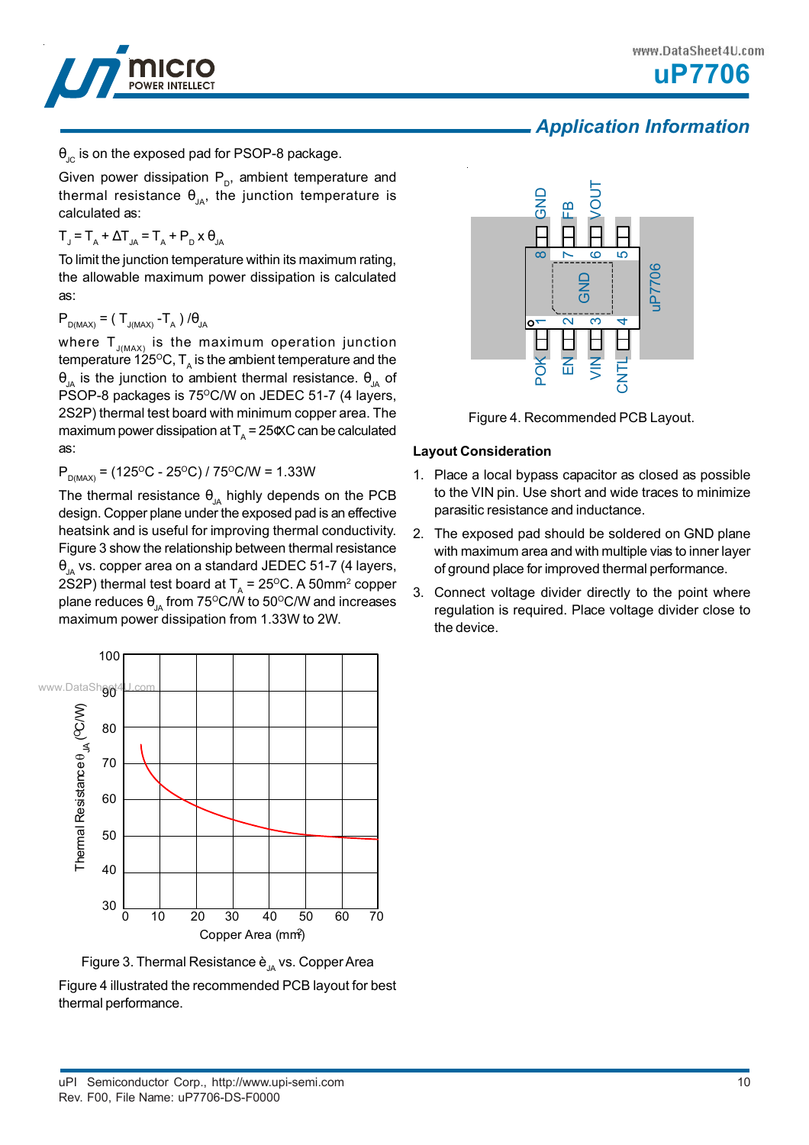



## *Application Information*

 $\theta_{\text{IC}}$  is on the exposed pad for PSOP-8 package.

Given power dissipation  $P_{p}$ , ambient temperature and thermal resistance  $\theta_{JA}$ , the junction temperature is calculated as:

$$
T_{J} = T_{A} + \Delta T_{JA} = T_{A} + P_{D} \times \theta_{JA}
$$

To limit the junction temperature within its maximum rating, the allowable maximum power dissipation is calculated as:

### $P_{D(MAX)} = (T_{J(MAX)} - T_{A})/\theta_{JA}$

where  ${\sf T}_{_{\sf J(MAX)}}$  is the maximum operation junction temperature 125 $^{\rm o}$ C, T<sub>A</sub> is the ambient temperature and the θ<sub>JA</sub> is the junction to ambient thermal resistance.  $θ_{JA}$  of PSOP-8 packages is 75°C/W on JEDEC 51-7 (4 layers, 2S2P) thermal test board with minimum copper area. The maximum power dissipation at  $T_A = 25 \times C$  can be calculated as:

 $P_{DMAX}$  = (125<sup>o</sup>C - 25<sup>o</sup>C) / 75<sup>o</sup>C/W = 1.33W

The thermal resistance  $\theta_{JA}$  highly depends on the PCB design. Copper plane under the exposed pad is an effective heatsink and is useful for improving thermal conductivity. Figure 3 show the relationship between thermal resistance  $\theta_{1A}$  vs. copper area on a standard JEDEC 51-7 (4 layers, 2S2P) thermal test board at  $T_A$  = 25<sup>o</sup>C. A 50mm<sup>2</sup> copper plane reduces  $\theta_{JA}$  from 75°C/W to 50°C/W and increases maximum power dissipation from 1.33W to 2W.





Figure 4 illustrated the recommended PCB layout for best thermal performance.



Figure 4. Recommended PCB Layout.

### **Layout Consideration**

- 1. Place a local bypass capacitor as closed as possible to the VIN pin. Use short and wide traces to minimize parasitic resistance and inductance.
- 2. The exposed pad should be soldered on GND plane with maximum area and with multiple vias to inner layer of ground place for improved thermal performance.
- 3. Connect voltage divider directly to the point where regulation is required. Place voltage divider close to the device.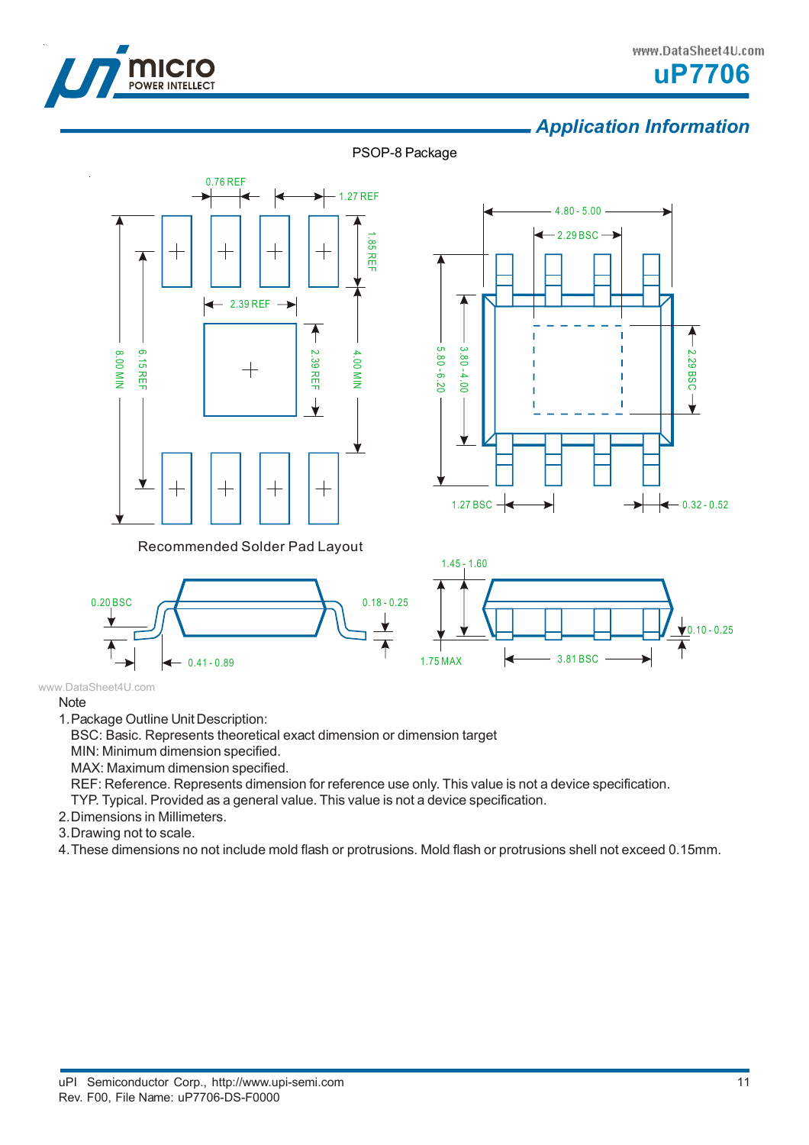



## *Application Information*









#### www.DataSheet4U.com

### **Note**

1.Package Outline Unit Description:

BSC: Basic. Represents theoretical exact dimension or dimension target

MIN: Minimum dimension specified.

MAX: Maximum dimension specified.

REF: Reference. Represents dimension for reference use only. This value is not a device specification.

TYP. Typical. Provided as a general value. This value is not a device specification.

- 2.Dimensions in Millimeters.
- 3.Drawing not to scale.

4.These dimensions no not include mold flash or protrusions. Mold flash or protrusions shell not exceed 0.15mm.